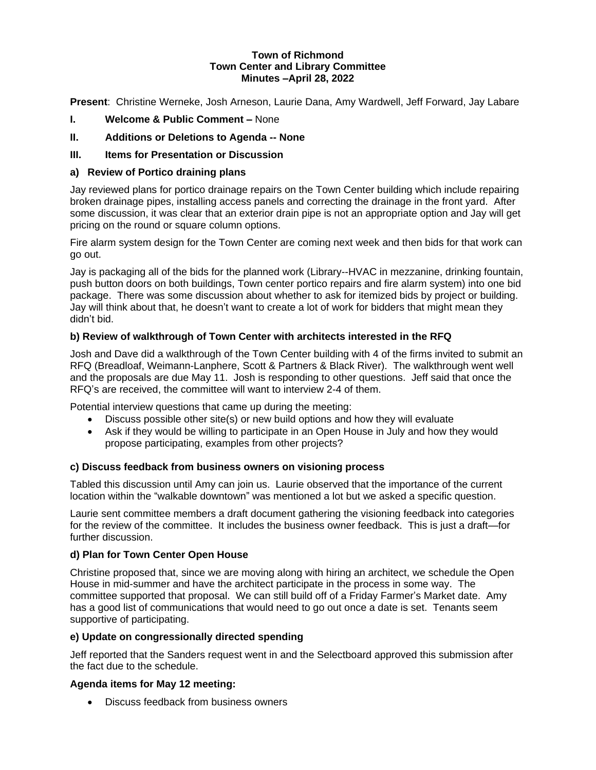#### **Town of Richmond Town Center and Library Committee Minutes –April 28, 2022**

**Present**: Christine Werneke, Josh Arneson, Laurie Dana, Amy Wardwell, Jeff Forward, Jay Labare

- **I. Welcome & Public Comment –** None
- **II. Additions or Deletions to Agenda -- None**

# **III. Items for Presentation or Discussion**

### **a) Review of Portico draining plans**

Jay reviewed plans for portico drainage repairs on the Town Center building which include repairing broken drainage pipes, installing access panels and correcting the drainage in the front yard. After some discussion, it was clear that an exterior drain pipe is not an appropriate option and Jay will get pricing on the round or square column options.

Fire alarm system design for the Town Center are coming next week and then bids for that work can go out.

Jay is packaging all of the bids for the planned work (Library--HVAC in mezzanine, drinking fountain, push button doors on both buildings, Town center portico repairs and fire alarm system) into one bid package. There was some discussion about whether to ask for itemized bids by project or building. Jay will think about that, he doesn't want to create a lot of work for bidders that might mean they didn't bid.

## **b) Review of walkthrough of Town Center with architects interested in the RFQ**

Josh and Dave did a walkthrough of the Town Center building with 4 of the firms invited to submit an RFQ (Breadloaf, Weimann-Lanphere, Scott & Partners & Black River). The walkthrough went well and the proposals are due May 11. Josh is responding to other questions. Jeff said that once the RFQ's are received, the committee will want to interview 2-4 of them.

Potential interview questions that came up during the meeting:

- Discuss possible other site(s) or new build options and how they will evaluate
- Ask if they would be willing to participate in an Open House in July and how they would propose participating, examples from other projects?

#### **c) Discuss feedback from business owners on visioning process**

Tabled this discussion until Amy can join us. Laurie observed that the importance of the current location within the "walkable downtown" was mentioned a lot but we asked a specific question.

Laurie sent committee members a draft document gathering the visioning feedback into categories for the review of the committee. It includes the business owner feedback. This is just a draft—for further discussion.

#### **d) Plan for Town Center Open House**

Christine proposed that, since we are moving along with hiring an architect, we schedule the Open House in mid-summer and have the architect participate in the process in some way. The committee supported that proposal. We can still build off of a Friday Farmer's Market date. Amy has a good list of communications that would need to go out once a date is set. Tenants seem supportive of participating.

#### **e) Update on congressionally directed spending**

Jeff reported that the Sanders request went in and the Selectboard approved this submission after the fact due to the schedule.

#### **Agenda items for May 12 meeting:**

• Discuss feedback from business owners